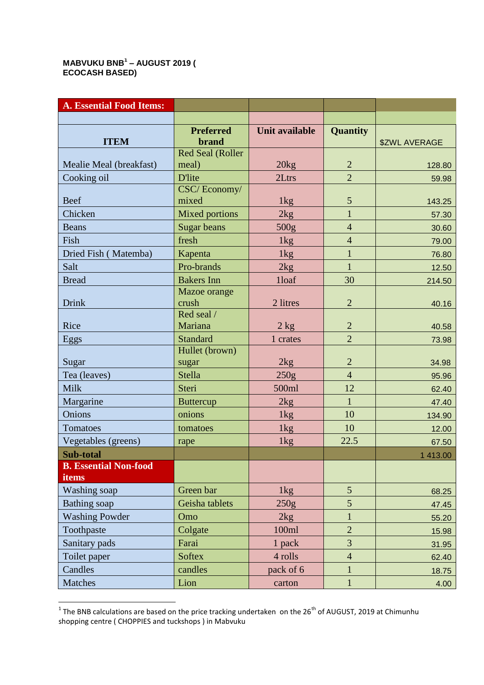## **MABVUKU BNB<sup>1</sup> – AUGUST 2019 ( ECOCASH BASED)**

| <b>A. Essential Food Items:</b> |                                  |                       |                                |                 |
|---------------------------------|----------------------------------|-----------------------|--------------------------------|-----------------|
|                                 |                                  |                       |                                |                 |
|                                 | <b>Preferred</b>                 | <b>Unit available</b> | <b>Quantity</b>                |                 |
| <b>ITEM</b>                     | <b>brand</b>                     |                       |                                | \$ZWL AVERAGE   |
| Mealie Meal (breakfast)         | <b>Red Seal (Roller</b><br>meal) | 20kg                  | $\overline{2}$                 |                 |
| Cooking oil                     | <b>D'lite</b>                    | 2Ltrs                 | $\overline{2}$                 | 128.80<br>59.98 |
|                                 | CSC/Economy/                     |                       |                                |                 |
| <b>Beef</b>                     | mixed                            | 1kg                   | $\mathfrak{S}$                 | 143.25          |
| Chicken                         | <b>Mixed portions</b>            | 2kg                   | $\mathbf{1}$                   | 57.30           |
| <b>Beans</b>                    | Sugar beans                      | 500 <sub>g</sub>      | $\overline{4}$                 | 30.60           |
| Fish                            | fresh                            | 1kg                   | $\overline{4}$                 | 79.00           |
| Dried Fish (Matemba)            | Kapenta                          | 1kg                   | $\mathbf{1}$                   | 76.80           |
| Salt                            | Pro-brands                       | 2kg                   | $\mathbf{1}$                   | 12.50           |
| <b>Bread</b>                    | <b>Bakers</b> Inn                | 1loaf                 | 30                             | 214.50          |
|                                 | Mazoe orange                     |                       |                                |                 |
| Drink                           | crush                            | 2 litres              | $\overline{2}$                 | 40.16           |
| Rice                            | Red seal /<br>Mariana            | $2$ kg                | $\overline{2}$                 | 40.58           |
| Eggs                            | <b>Standard</b>                  | 1 crates              | $\overline{2}$                 | 73.98           |
|                                 | Hullet (brown)                   |                       |                                |                 |
| Sugar                           | sugar                            | 2kg                   | $\overline{2}$                 | 34.98           |
| Tea (leaves)                    | <b>Stella</b>                    | 250g                  | $\overline{4}$                 | 95.96           |
| <b>Milk</b>                     | Steri                            | 500ml                 | 12                             | 62.40           |
| Margarine                       | <b>Buttercup</b>                 | 2kg                   | $\mathbf{1}$                   | 47.40           |
| Onions                          | onions                           | 1kg                   | 10                             | 134.90          |
| Tomatoes                        | tomatoes                         | 1kg                   | 10                             | 12.00           |
| Vegetables (greens)             | rape                             | 1kg                   | 22.5                           | 67.50           |
| Sub-total                       |                                  |                       |                                | 1 413.00        |
| <b>B.</b> Essential Non-food    |                                  |                       |                                |                 |
| items                           |                                  |                       | $5\overline{)}$                |                 |
| Washing soap                    | Green bar                        | 1kg                   |                                | 68.25           |
| <b>Bathing</b> soap             | Geisha tablets                   | 250g                  | 5                              | 47.45           |
| <b>Washing Powder</b>           | Omo                              | 2kg<br>100ml          | $\mathbf{1}$<br>$\overline{2}$ | 55.20           |
| Toothpaste                      | Colgate                          |                       | 3                              | 15.98           |
| Sanitary pads                   | Farai                            | 1 pack<br>4 rolls     | $\overline{4}$                 | 31.95           |
| Toilet paper                    | <b>Softex</b>                    |                       |                                | 62.40           |
| Candles                         | candles                          | pack of 6             | $\mathbf{1}$<br>$\mathbf{1}$   | 18.75           |
| Matches                         | Lion                             | carton                |                                | 4.00            |

 1 The BNB calculations are based on the price tracking undertaken on the 26th of AUGUST, 2019 at Chimunhu shopping centre ( CHOPPIES and tuckshops ) in Mabvuku